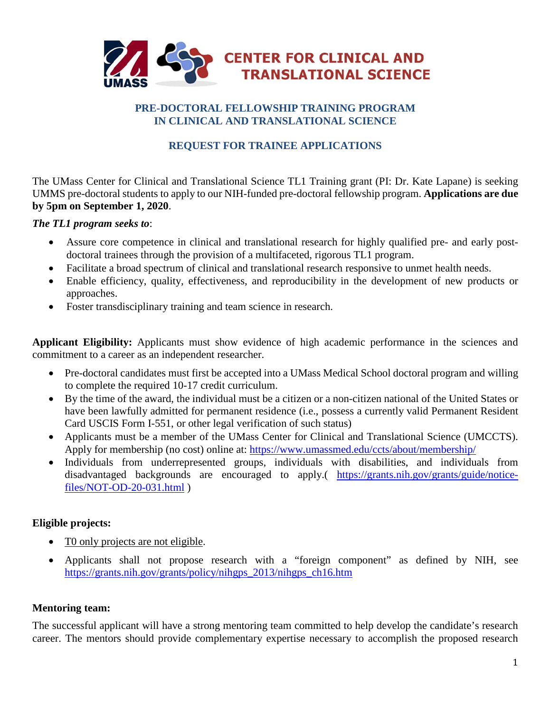

### **PRE-DOCTORAL FELLOWSHIP TRAINING PROGRAM IN CLINICAL AND TRANSLATIONAL SCIENCE**

# **REQUEST FOR TRAINEE APPLICATIONS**

The UMass Center for Clinical and Translational Science TL1 Training grant (PI: Dr. Kate Lapane) is seeking UMMS pre-doctoral students to apply to our NIH-funded pre-doctoral fellowship program. **Applications are due by 5pm on September 1, 2020**.

### *The TL1 program seeks to*:

- Assure core competence in clinical and translational research for highly qualified pre- and early postdoctoral trainees through the provision of a multifaceted, rigorous TL1 program.
- Facilitate a broad spectrum of clinical and translational research responsive to unmet health needs.
- Enable efficiency, quality, effectiveness, and reproducibility in the development of new products or approaches.
- Foster transdisciplinary training and team science in research.

**Applicant Eligibility:** Applicants must show evidence of high academic performance in the sciences and commitment to a career as an independent researcher.

- Pre-doctoral candidates must first be accepted into a UMass Medical School doctoral program and willing to complete the required 10-17 credit curriculum.
- By the time of the award, the individual must be a citizen or a non-citizen national of the United States or have been lawfully admitted for permanent residence (i.e., possess a currently valid Permanent Resident Card USCIS Form I-551, or other legal verification of such status)
- Applicants must be a member of the UMass Center for Clinical and Translational Science (UMCCTS). Apply for membership (no cost) online at:<https://www.umassmed.edu/ccts/about/membership/>
- Individuals from underrepresented groups, individuals with disabilities, and individuals from disadvantaged backgrounds are encouraged to apply.( [https://grants.nih.gov/grants/guide/notice](https://grants.nih.gov/grants/guide/notice-files/NOT-OD-20-031.html)[files/NOT-OD-20-031.html](https://grants.nih.gov/grants/guide/notice-files/NOT-OD-20-031.html) )

### **Eligible projects:**

- To only projects are not eligible.
- Applicants shall not propose research with a "foreign component" as defined by NIH, see [https://grants.nih.gov/grants/policy/nihgps\\_2013/nihgps\\_ch16.htm](https://grants.nih.gov/grants/policy/nihgps_2013/nihgps_ch16.htm)

### **Mentoring team:**

The successful applicant will have a strong mentoring team committed to help develop the candidate's research career. The mentors should provide complementary expertise necessary to accomplish the proposed research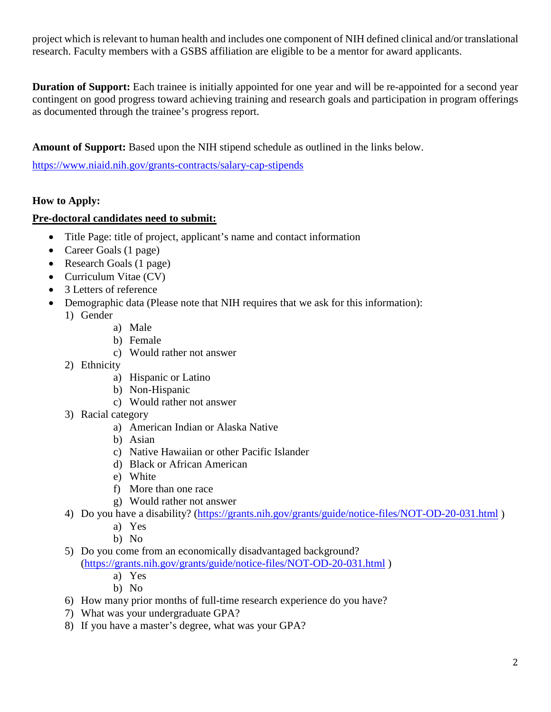project which is relevant to human health and includes one component of NIH defined clinical and/or translational research. Faculty members with a GSBS affiliation are eligible to be a mentor for award applicants.

**Duration of Support:** Each trainee is initially appointed for one year and will be re-appointed for a second year contingent on good progress toward achieving training and research goals and participation in program offerings as documented through the trainee's progress report.

**Amount of Support:** Based upon the NIH stipend schedule as outlined in the links below.

<https://www.niaid.nih.gov/grants-contracts/salary-cap-stipends>

## **How to Apply:**

### **Pre-doctoral candidates need to submit:**

- Title Page: title of project, applicant's name and contact information
- Career Goals (1 page)
- Research Goals (1 page)
- Curriculum Vitae (CV)
- 3 Letters of reference
- Demographic data (Please note that NIH requires that we ask for this information):
	- 1) Gender
		- a) Male
		- b) Female
		- c) Would rather not answer
	- 2) Ethnicity
		- a) Hispanic or Latino
		- b) Non-Hispanic
		- c) Would rather not answer
	- 3) Racial category
		- a) American Indian or Alaska Native
		- b) Asian
		- c) Native Hawaiian or other Pacific Islander
		- d) Black or African American
		- e) White
		- f) More than one race
		- g) Would rather not answer
	- 4) Do you have a disability? [\(https://grants.nih.gov/grants/guide/notice-files/NOT-OD-20-031.html](https://grants.nih.gov/grants/guide/notice-files/NOT-OD-20-031.html) )
		- a) Yes
		- b) No
	- 5) Do you come from an economically disadvantaged background? [\(https://grants.nih.gov/grants/guide/notice-files/NOT-OD-20-031.html](https://grants.nih.gov/grants/guide/notice-files/NOT-OD-20-031.html) )
		- a) Yes
		- b) No
	- 6) How many prior months of full-time research experience do you have?
	- 7) What was your undergraduate GPA?
	- 8) If you have a master's degree, what was your GPA?